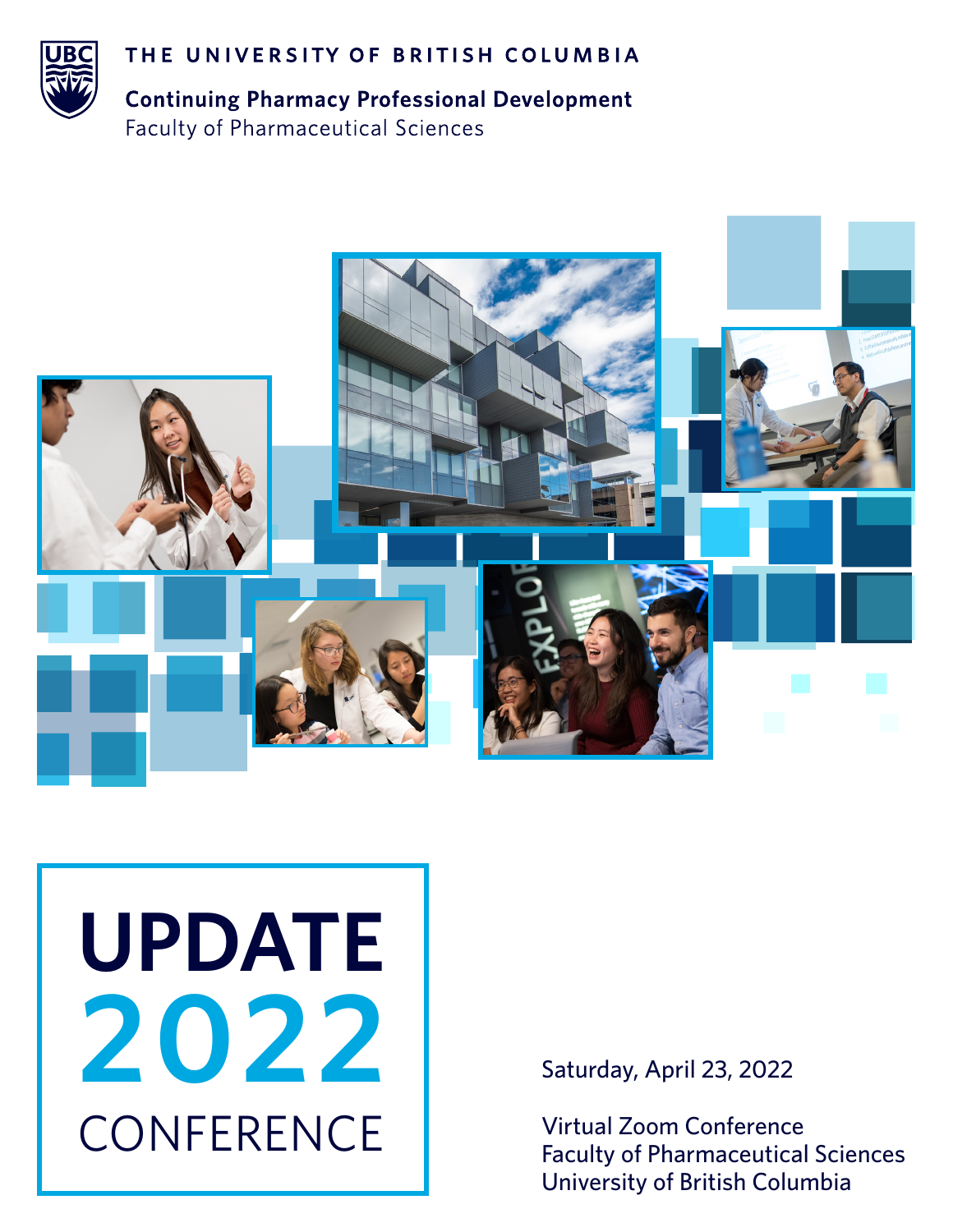

THE UNIVERSITY OF BRITISH COLUMBIA

**Continuing Pharmacy Professional Development Faculty of Pharmaceutical Sciences** 



# **CONFERENCE UPDATE 2022**

Saturday, April 23, 2022

Virtual Zoom Conference Faculty of Pharmaceutical Sciences University of British Columbia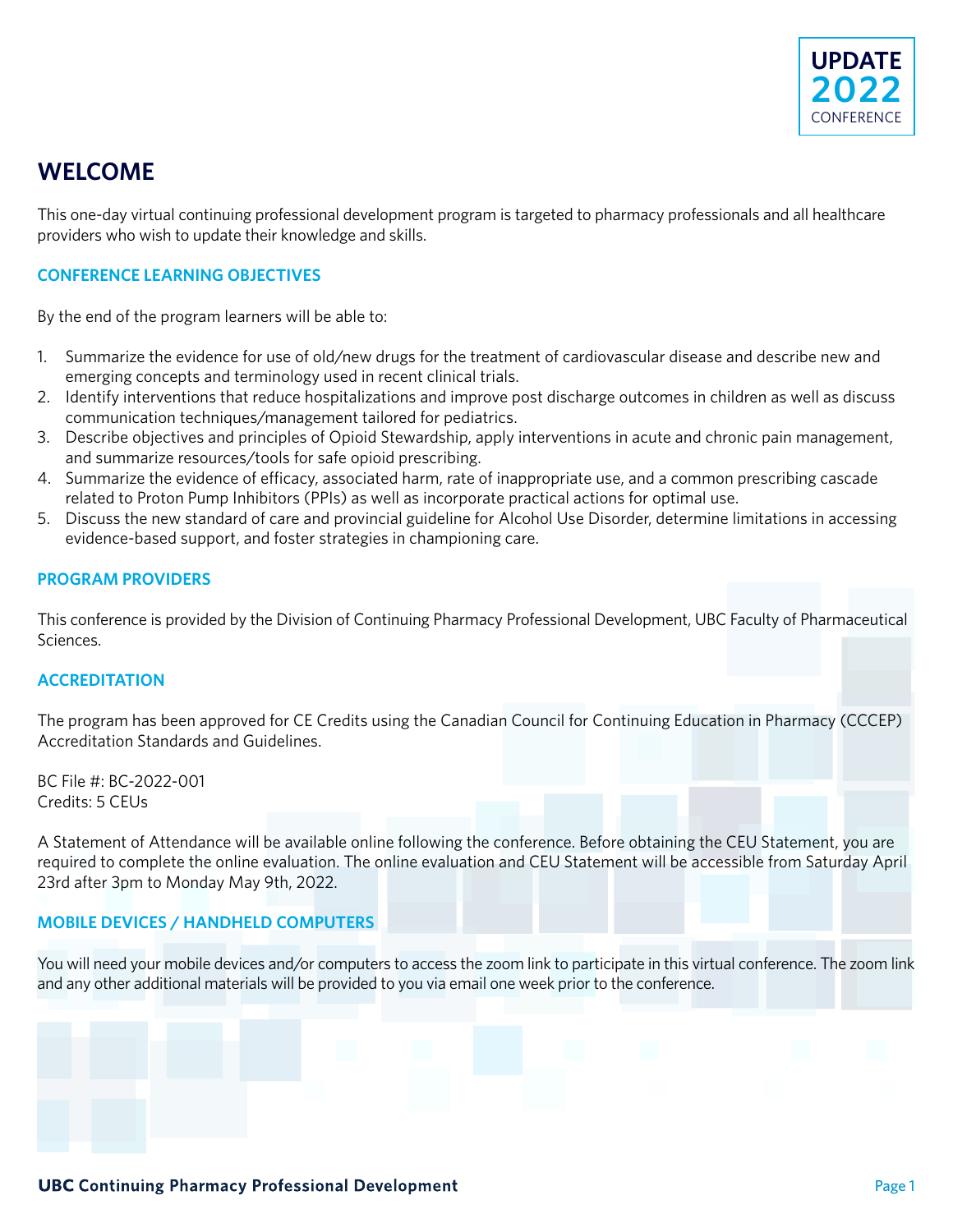

### **WELCOME**

This one-day virtual continuing professional development program is targeted to pharmacy professionals and all healthcare providers who wish to update their knowledge and skills.

### **CONFERENCE LEARNING OBJECTIVES**

By the end of the program learners will be able to:

- 1. Summarize the evidence for use of old/new drugs for the treatment of cardiovascular disease and describe new and emerging concepts and terminology used in recent clinical trials.
- 2. Identify interventions that reduce hospitalizations and improve post discharge outcomes in children as well as discuss communication techniques/management tailored for pediatrics.
- 3. Describe objectives and principles of Opioid Stewardship, apply interventions in acute and chronic pain management, and summarize resources/tools for safe opioid prescribing.
- 4. Summarize the evidence of efficacy, associated harm, rate of inappropriate use, and a common prescribing cascade related to Proton Pump Inhibitors (PPIs) as well as incorporate practical actions for optimal use.
- 5. Discuss the new standard of care and provincial guideline for Alcohol Use Disorder, determine limitations in accessing evidence-based support, and foster strategies in championing care.

### **PROGRAM PROVIDERS**

This conference is provided by the Division of Continuing Pharmacy Professional Development, UBC Faculty of Pharmaceutical Sciences.

### **ACCREDITATION**

The program has been approved for CE Credits using the Canadian Council for Continuing Education in Pharmacy (CCCEP) Accreditation Standards and Guidelines.

BC File #: BC-2022-001 Credits: 5 CEUs

A Statement of Attendance will be available online following the conference. Before obtaining the CEU Statement, you are required to complete the online evaluation. The online evaluation and CEU Statement will be accessible from Saturday April 23rd after 3pm to Monday May 9th, 2022.

### **MOBILE DEVICES / HANDHELD COMPUTERS**

You will need your mobile devices and/or computers to access the zoom link to participate in this virtual conference. The zoom link and any other additional materials will be provided to you via email one week prior to the conference.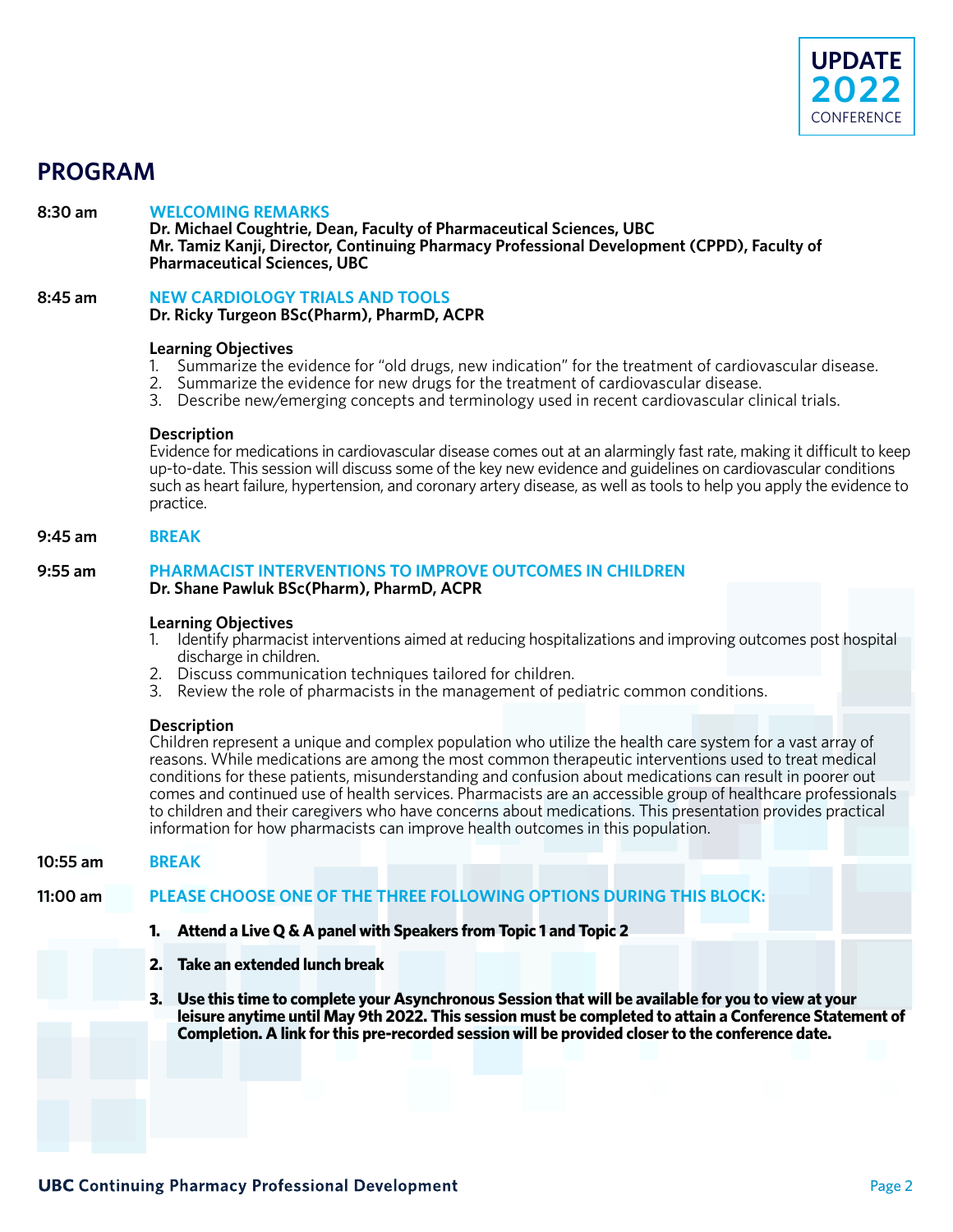

### **PROGRAM**

8:30 am WELCOMING REMARKS<br>Dr. Michael Coughtrie, Dean, Faculty of Pharmaceutical Sciences, UBC<br>Mr. Tamiz Kanji, Director, Continuing Pharmacy Professional Development (CPPD), Faculty of<br>Pharmaceutical Sciences, UBC

# **8:45 am NEW CARDIOLOGY TRIALS AND TOOLS Dr. Ricky Turgeon BSc(Pharm), PharmD, ACPR**

### **Learning Objectives**

- 1. Summarize the evidence for "old drugs, new indication" for the treatment of cardiovascular disease.
- 2. Summarize the evidence for new drugs for the treatment of cardiovascular disease.
- 3. Describe new/emerging concepts and terminology used in recent cardiovascular clinical trials.

**Description**<br>Evidence for medications in cardiovascular disease comes out at an alarmingly fast rate, making it difficult to keep<br>up-to-date. This session will discuss some of the key new evidence and guidelines on cardio

### **9:45 am BREAK**

### **9:55 am PHARMACIST INTERVENTIONS TO IMPROVE OUTCOMES IN CHILDREN Dr. Shane Pawluk BSc(Pharm), PharmD, ACPR**

#### **Learning Objectives**

- 1. Identify pharmacist interventions aimed at reducing hospitalizations and improving outcomes post hospital discharge in children.
- 2. Discuss communication techniques tailored for children.
- 3. Review the role of pharmacists in the management of pediatric common conditions.

**Description**<br>Children represent a unique and complex population who utilize the health care system for a vast array of<br>reasons. While medications are among the most common therapeutic interventions used to treat medical<br>c

#### **10:55 am BREAK**

### **11:00 am PLEASE CHOOSE ONE OF THE THREE FOLLOWING OPTIONS DURING THIS BLOCK:**

- **1. Attend a Live Q & A panel with Speakers from Topic 1 and Topic 2**
- **2. Take an extended lunch break**
- **3. Use this time to complete your Asynchronous Session that will be available for you to view at your leisure anytime until May 9th 2022. This session must be completed to attain a Conference Statement of Completion. A link for this pre-recorded session will be provided closer to the conference date.**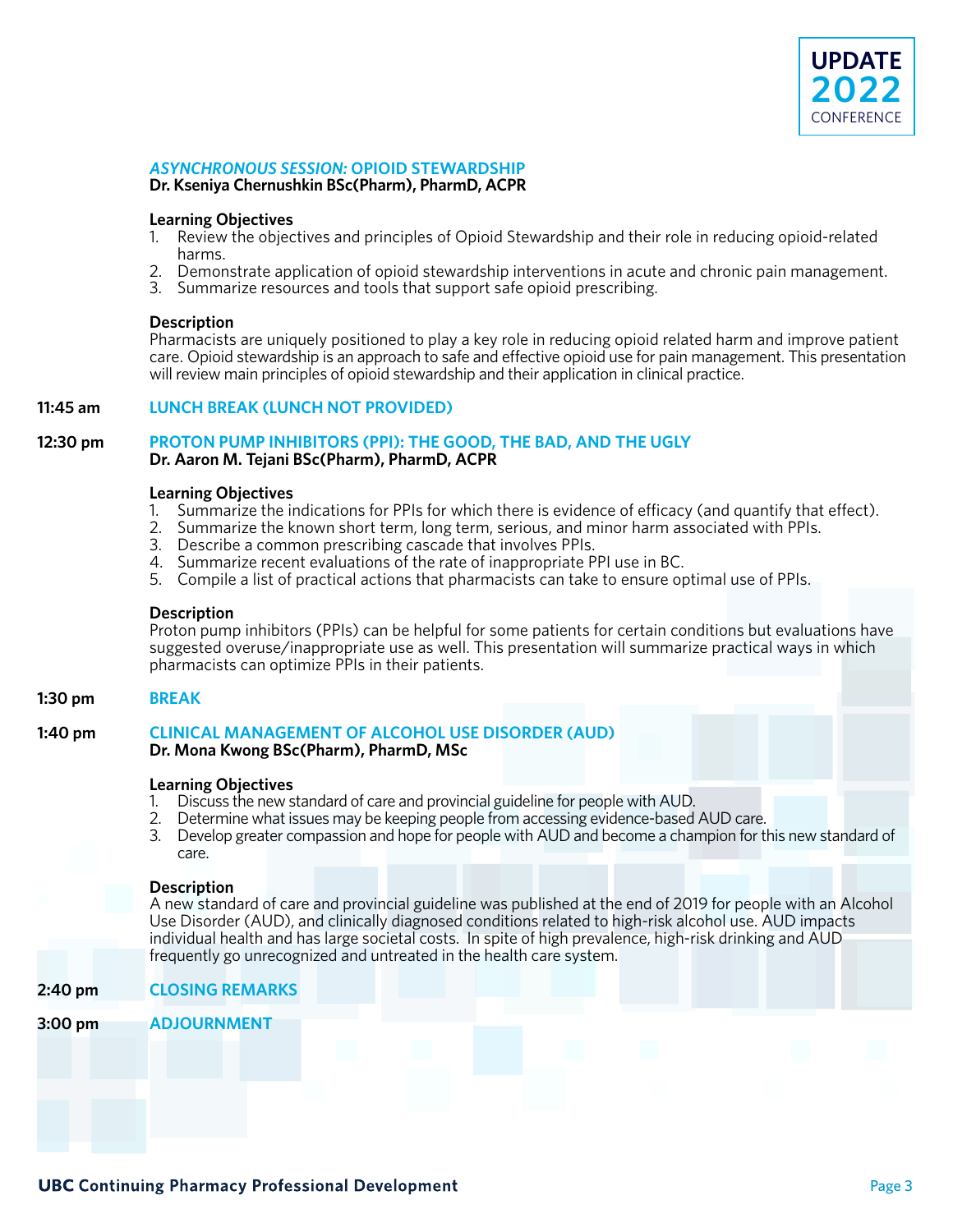

### *ASYNCHRONOUS SESSION:* **OPIOID STEWARDSHIP**

**Dr. Kseniya Chernushkin BSc(Pharm), PharmD, ACPR**

#### **Learning Objectives**

- 1. Review the objectives and principles of Opioid Stewardship and their role in reducing opioid-related harms.
- 2. Demonstrate application of opioid stewardship interventions in acute and chronic pain management.
- 3. Summarize resources and tools that support safe opioid prescribing.

### **Description**

 Pharmacists are uniquely positioned to play a key role in reducing opioid related harm and improve patient care. Opioid stewardship is an approach to safe and effective opioid use for pain management. This presentation will review main principles of opioid stewardship and their application in clinical practice.

### **11:45 am LUNCH BREAK (LUNCH NOT PROVIDED)**

### **12:30 pm PROTON PUMP INHIBITORS (PPI): THE GOOD, THE BAD, AND THE UGLY Dr. Aaron M. Tejani BSc(Pharm), PharmD, ACPR**

### **Learning Objectives**

- 1. Summarize the indications for PPIs for which there is evidence of efficacy (and quantify that effect).
- 2. Summarize the known short term, long term, serious, and minor harm associated with PPIs.
- 3. Describe a common prescribing cascade that involves PPIs.
- 4. Summarize recent evaluations of the rate of inappropriate PPI use in BC.
- 5. Compile a list of practical actions that pharmacists can take to ensure optimal use of PPIs.

#### **Description**

 Proton pump inhibitors (PPIs) can be helpful for some patients for certain conditions but evaluations have suggested overuse/inappropriate use as well. This presentation will summarize practical ways in which pharmacists can optimize PPIs in their patients.

### **1:30 pm BREAK**

### **1:40 pm CLINICAL MANAGEMENT OF ALCOHOL USE DISORDER (AUD) Dr. Mona Kwong BSc(Pharm), PharmD, MSc**

#### **Learning Objectives**

- 1. Discuss the new standard of care and provincial guideline for people with AUD.
- 2. Determine what issues may be keeping people from accessing evidence-based AUD care.
- 3. Develop greater compassion and hope for people with AUD and become a champion for this new standard of care.

#### **Description**

 A new standard of care and provincial guideline was published at the end of 2019 for people with an Alcohol Use Disorder (AUD), and clinically diagnosed conditions related to high-risk alcohol use. AUD impacts individual health and has large societal costs. In spite of high prevalence, high-risk drinking and AUD frequently go unrecognized and untreated in the health care system.

### **2:40 pm CLOSING REMARKS 3:00 pm ADJOURNMENT**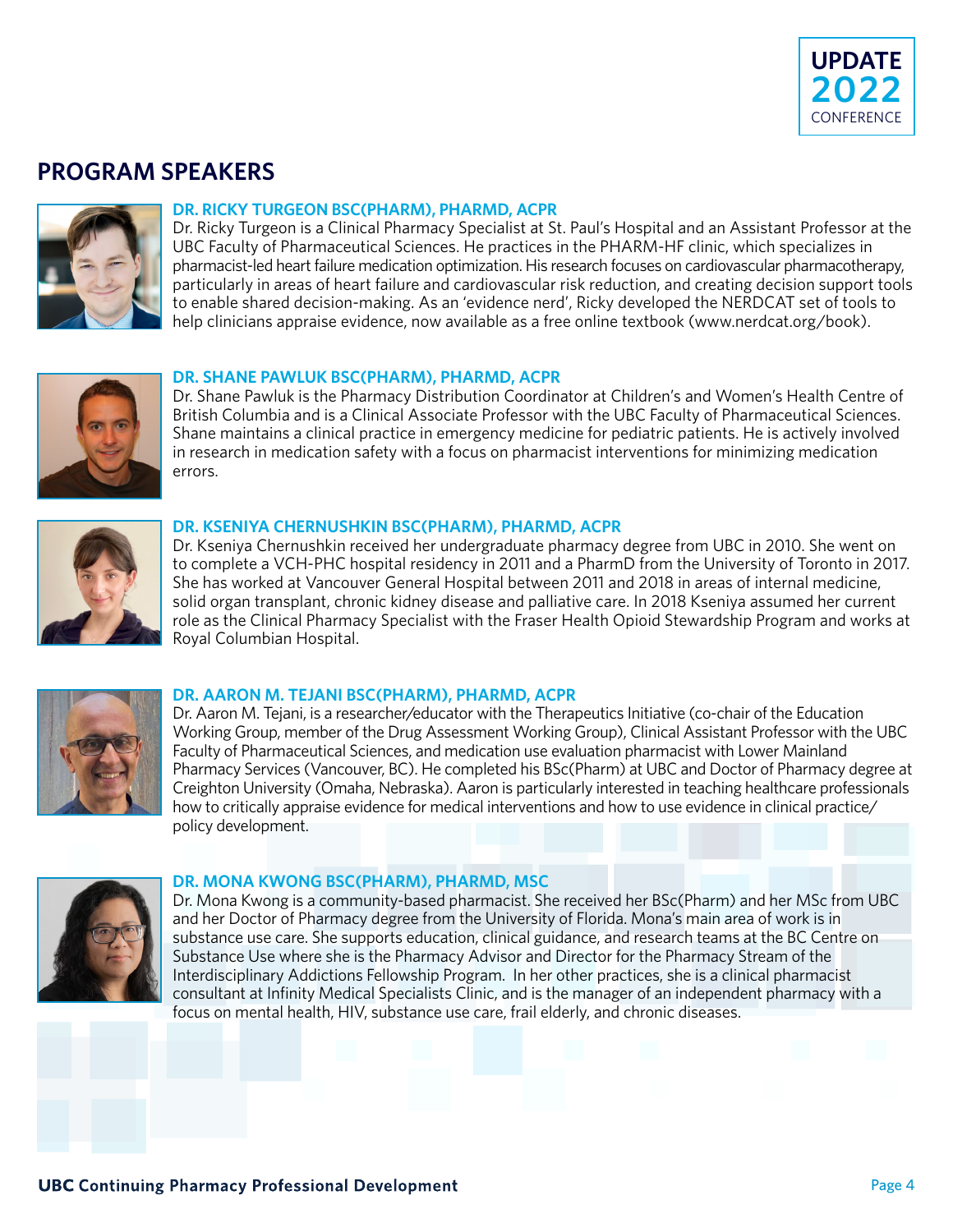

### **PROGRAM SPEAKERS**



### **DR. RICKY TURGEON BSC(PHARM), PHARMD, ACPR**

Dr. Ricky Turgeon is a Clinical Pharmacy Specialist at St. Paul's Hospital and an Assistant Professor at the UBC Faculty of Pharmaceutical Sciences. He practices in the PHARM-HF clinic, which specializes in pharmacist-led heart failure medication optimization. His research focuses on cardiovascular pharmacotherapy, particularly in areas of heart failure and cardiovascular risk reduction, and creating decision support tools to enable shared decision-making. As an 'evidence nerd', Ricky developed the NERDCAT set of tools to help clinicians appraise evidence, now available as a free online textbook (www.nerdcat.org/book).



### **DR. SHANE PAWLUK BSC(PHARM), PHARMD, ACPR**

Dr. Shane Pawluk is the Pharmacy Distribution Coordinator at Children's and Women's Health Centre of British Columbia and is a Clinical Associate Professor with the UBC Faculty of Pharmaceutical Sciences. Shane maintains a clinical practice in emergency medicine for pediatric patients. He is actively involved in research in medication safety with a focus on pharmacist interventions for minimizing medication errors.



### **DR. KSENIYA CHERNUSHKIN BSC(PHARM), PHARMD, ACPR**

Dr. Kseniya Chernushkin received her undergraduate pharmacy degree from UBC in 2010. She went on to complete a VCH-PHC hospital residency in 2011 and a PharmD from the University of Toronto in 2017. She has worked at Vancouver General Hospital between 2011 and 2018 in areas of internal medicine, solid organ transplant, chronic kidney disease and palliative care. In 2018 Kseniya assumed her current role as the Clinical Pharmacy Specialist with the Fraser Health Opioid Stewardship Program and works at Royal Columbian Hospital.



### **DR. AARON M. TEJANI BSC(PHARM), PHARMD, ACPR**

Dr. Aaron M. Tejani, is a researcher/educator with the Therapeutics Initiative (co-chair of the Education Working Group, member of the Drug Assessment Working Group), Clinical Assistant Professor with the UBC Faculty of Pharmaceutical Sciences, and medication use evaluation pharmacist with Lower Mainland Pharmacy Services (Vancouver, BC). He completed his BSc(Pharm) at UBC and Doctor of Pharmacy degree at Creighton University (Omaha, Nebraska). Aaron is particularly interested in teaching healthcare professionals how to critically appraise evidence for medical interventions and how to use evidence in clinical practice/ policy development.



### **DR. MONA KWONG BSC(PHARM), PHARMD, MSC**

Dr. Mona Kwong is a community-based pharmacist. She received her BSc(Pharm) and her MSc from UBC and her Doctor of Pharmacy degree from the University of Florida. Mona's main area of work is in substance use care. She supports education, clinical guidance, and research teams at the BC Centre on Substance Use where she is the Pharmacy Advisor and Director for the Pharmacy Stream of the Interdisciplinary Addictions Fellowship Program. In her other practices, she is a clinical pharmacist consultant at Infinity Medical Specialists Clinic, and is the manager of an independent pharmacy with a focus on mental health, HIV, substance use care, frail elderly, and chronic diseases.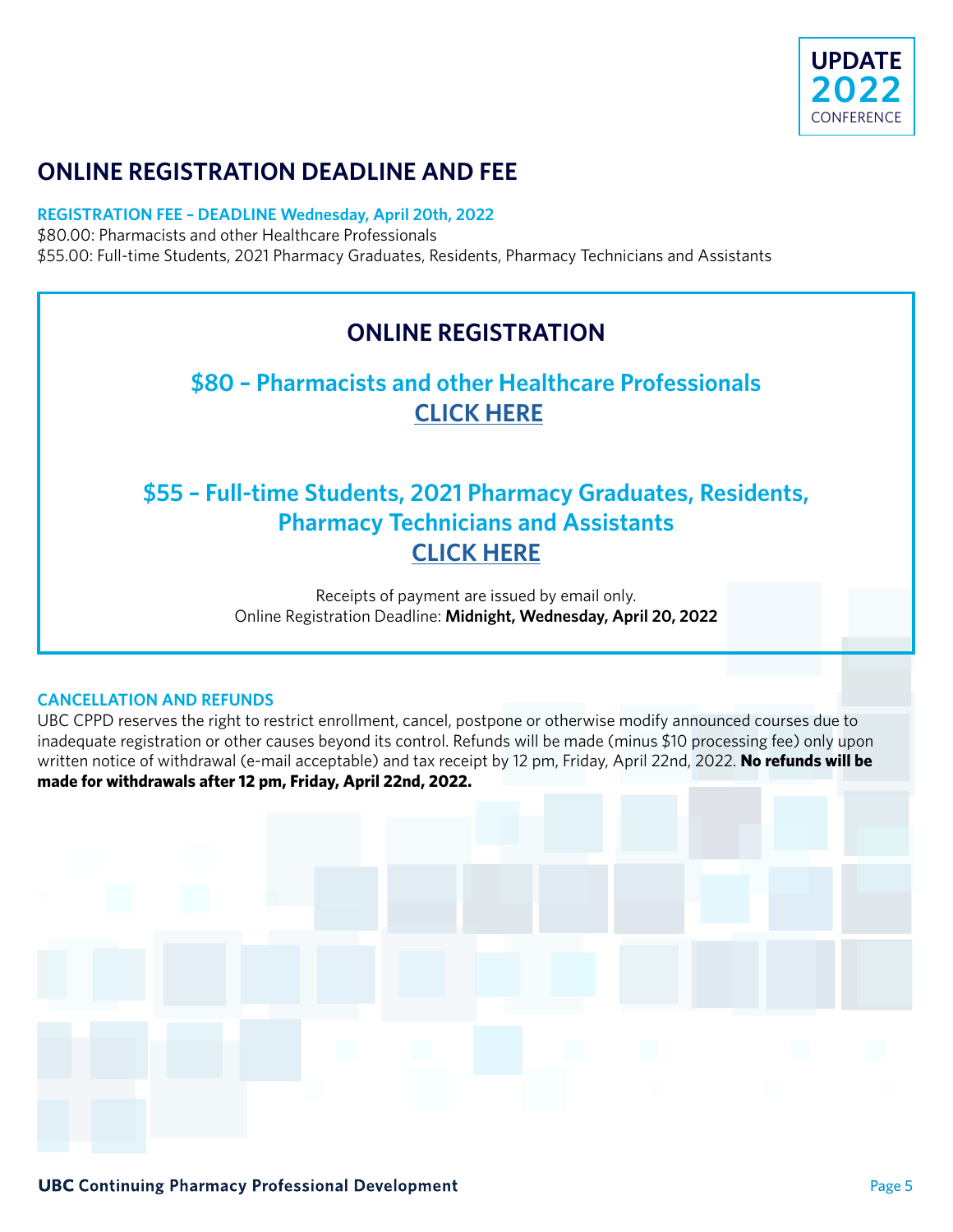

# **ONLINE REGISTRATION DEADLINE AND FEE**

### **REGISTRATION FEE – DEADLINE Wednesday, April 20th, 2022**

\$80.00: Pharmacists and other Healthcare Professionals \$55.00: Full-time Students, 2021 Pharmacy Graduates, Residents, Pharmacy Technicians and Assistants

### **ONLINE REGISTRATION**

### **\$80 – Pharmacists and other Healthcare Professionals [CLICK HERE](https://courses.cpe.ubc.ca/browse/ubcv/pharmaceutical-sciences-cpe/cppd-update-2022/courses/cppd-update-conference-2022)**

# **\$55 – Full-time Students, 2021 Pharmacy Graduates, Residents, Pharmacy Technicians and Assistants [CLICK HERE](https://courses.cpe.ubc.ca/browse/ubcv/pharmaceutical-sciences-cpe/cppd-update-2022/courses/cppd-update-conference-2022---student)**

Receipts of payment are issued by email only. Online Registration Deadline: **Midnight, Wednesday, April 20, 2022**

### **CANCELLATION AND REFUNDS**

UBC CPPD reserves the right to restrict enrollment, cancel, postpone or otherwise modify announced courses due to inadequate registration or other causes beyond its control. Refunds will be made (minus \$10 processing fee) only upon written notice of withdrawal (e-mail acceptable) and tax receipt by 12 pm, Friday, April 22nd, 2022. **No refunds will be made for withdrawals after 12 pm, Friday, April 22nd, 2022.**